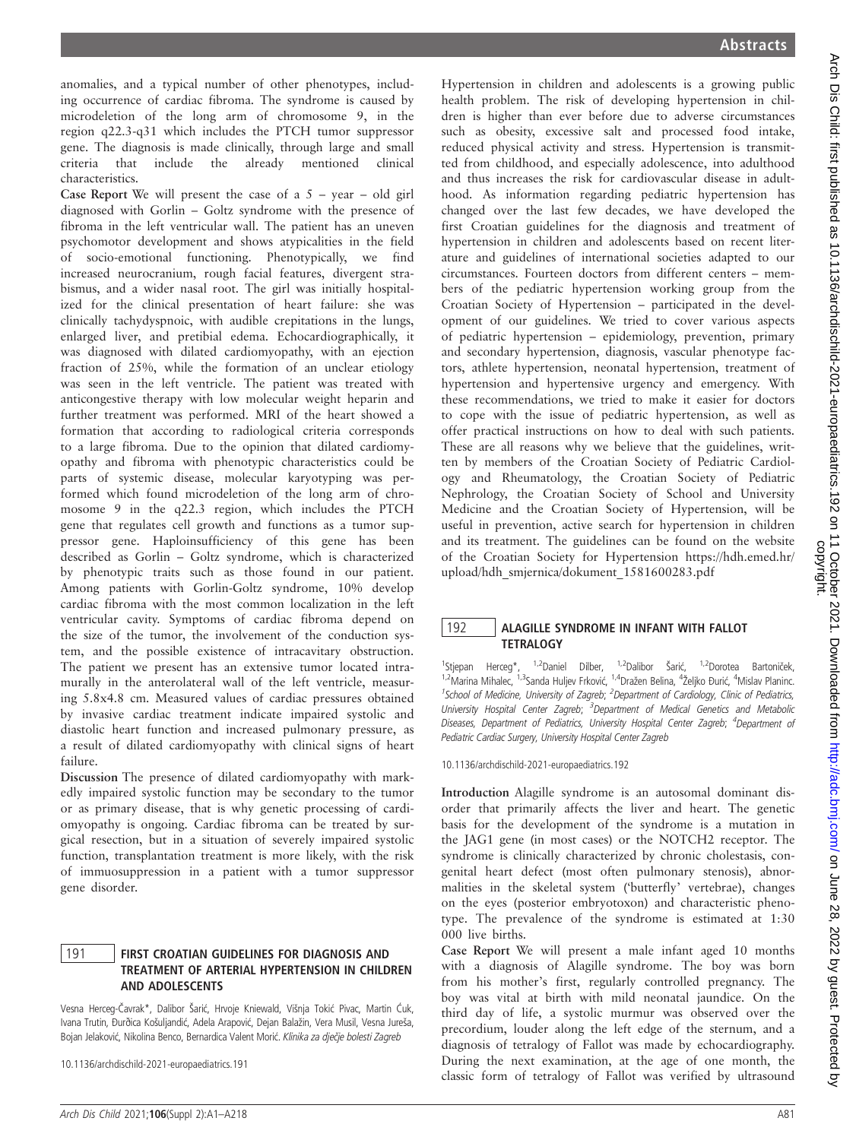anomalies, and a typical number of other phenotypes, including occurrence of cardiac fibroma. The syndrome is caused by microdeletion of the long arm of chromosome 9, in the region q22.3-q31 which includes the PTCH tumor suppressor gene. The diagnosis is made clinically, through large and small criteria that include the already mentioned clinical characteristics.

Case Report We will present the case of a  $5 - year - old girl$ diagnosed with Gorlin – Goltz syndrome with the presence of fibroma in the left ventricular wall. The patient has an uneven psychomotor development and shows atypicalities in the field of socio-emotional functioning. Phenotypically, we find increased neurocranium, rough facial features, divergent strabismus, and a wider nasal root. The girl was initially hospitalized for the clinical presentation of heart failure: she was clinically tachydyspnoic, with audible crepitations in the lungs, enlarged liver, and pretibial edema. Echocardiographically, it was diagnosed with dilated cardiomyopathy, with an ejection fraction of 25%, while the formation of an unclear etiology was seen in the left ventricle. The patient was treated with anticongestive therapy with low molecular weight heparin and further treatment was performed. MRI of the heart showed a formation that according to radiological criteria corresponds to a large fibroma. Due to the opinion that dilated cardiomyopathy and fibroma with phenotypic characteristics could be parts of systemic disease, molecular karyotyping was performed which found microdeletion of the long arm of chromosome 9 in the q22.3 region, which includes the PTCH gene that regulates cell growth and functions as a tumor suppressor gene. Haploinsufficiency of this gene has been described as Gorlin – Goltz syndrome, which is characterized by phenotypic traits such as those found in our patient. Among patients with Gorlin-Goltz syndrome, 10% develop cardiac fibroma with the most common localization in the left ventricular cavity. Symptoms of cardiac fibroma depend on the size of the tumor, the involvement of the conduction system, and the possible existence of intracavitary obstruction. The patient we present has an extensive tumor located intramurally in the anterolateral wall of the left ventricle, measuring 5.8x4.8 cm. Measured values of cardiac pressures obtained by invasive cardiac treatment indicate impaired systolic and diastolic heart function and increased pulmonary pressure, as a result of dilated cardiomyopathy with clinical signs of heart failure.

Discussion The presence of dilated cardiomyopathy with markedly impaired systolic function may be secondary to the tumor or as primary disease, that is why genetic processing of cardiomyopathy is ongoing. Cardiac fibroma can be treated by surgical resection, but in a situation of severely impaired systolic function, transplantation treatment is more likely, with the risk of immuosuppression in a patient with a tumor suppressor gene disorder.

### 191 | FIRST CROATIAN GUIDELINES FOR DIAGNOSIS AND TREATMENT OF ARTERIAL HYPERTENSION IN CHILDREN AND ADOLESCENTS

Vesna Herceg-Čavrak\*, Dalibor Šarić, Hrvoje Kniewald, Višnja Tokić Pivac, Martin Ćuk, Ivana Trutin, Đurðica Košuljandić, Adela Arapović, Dejan Balažin, Vera Musil, Vesna Jureša, Bojan Jelaković, Nikolina Benco, Bernardica Valent Morić. Klinika za dječje bolesti Zagreb

10.1136/archdischild-2021-europaediatrics.191

Hypertension in children and adolescents is a growing public health problem. The risk of developing hypertension in children is higher than ever before due to adverse circumstances such as obesity, excessive salt and processed food intake, reduced physical activity and stress. Hypertension is transmitted from childhood, and especially adolescence, into adulthood and thus increases the risk for cardiovascular disease in adulthood. As information regarding pediatric hypertension has changed over the last few decades, we have developed the first Croatian guidelines for the diagnosis and treatment of hypertension in children and adolescents based on recent literature and guidelines of international societies adapted to our circumstances. Fourteen doctors from different centers – members of the pediatric hypertension working group from the Croatian Society of Hypertension – participated in the development of our guidelines. We tried to cover various aspects of pediatric hypertension – epidemiology, prevention, primary and secondary hypertension, diagnosis, vascular phenotype factors, athlete hypertension, neonatal hypertension, treatment of hypertension and hypertensive urgency and emergency. With these recommendations, we tried to make it easier for doctors to cope with the issue of pediatric hypertension, as well as offer practical instructions on how to deal with such patients. These are all reasons why we believe that the guidelines, written by members of the Croatian Society of Pediatric Cardiology and Rheumatology, the Croatian Society of Pediatric Nephrology, the Croatian Society of School and University Medicine and the Croatian Society of Hypertension, will be useful in prevention, active search for hypertension in children and its treatment. The guidelines can be found on the website of the Croatian Society for Hypertension https://hdh.emed.hr/ upload/hdh\_smjernica/dokument\_1581600283.pdf

#### 192 ALAGILLE SYNDROME IN INFANT WITH FALLOT **TETRALOGY**

<sup>1</sup>Stjepan Herceg\*, <sup>1,2</sup>Daniel Dilber, <sup>1,2</sup>Dalibor Šarić, <sup>1,2</sup>Dorotea Bartoniček, <sup>1,2</sup> Marina Mihalec, <sup>1,3</sup> Sanda Huljev Frković, <sup>1,4</sup> Dražen Belina, <sup>4</sup> Željko Đurić, <sup>4</sup> Mislav Planinc. <sup>1</sup>School of Medicine, University of Zagreb; <sup>2</sup>Department of Cardiology, Clinic of Pediatrics, University Hospital Center Zagreb; <sup>3</sup>Department of Medical Genetics and Metabolic Diseases, Department of Pediatrics, University Hospital Center Zagreb; <sup>4</sup>Department of Pediatric Cardiac Surgery, University Hospital Center Zagreb

10.1136/archdischild-2021-europaediatrics.192

Introduction Alagille syndrome is an autosomal dominant disorder that primarily affects the liver and heart. The genetic basis for the development of the syndrome is a mutation in the JAG1 gene (in most cases) or the NOTCH2 receptor. The syndrome is clinically characterized by chronic cholestasis, congenital heart defect (most often pulmonary stenosis), abnormalities in the skeletal system ('butterfly' vertebrae), changes on the eyes (posterior embryotoxon) and characteristic phenotype. The prevalence of the syndrome is estimated at 1:30 000 live births.

Case Report We will present a male infant aged 10 months with a diagnosis of Alagille syndrome. The boy was born from his mother's first, regularly controlled pregnancy. The boy was vital at birth with mild neonatal jaundice. On the third day of life, a systolic murmur was observed over the precordium, louder along the left edge of the sternum, and a diagnosis of tetralogy of Fallot was made by echocardiography. During the next examination, at the age of one month, the classic form of tetralogy of Fallot was verified by ultrasound